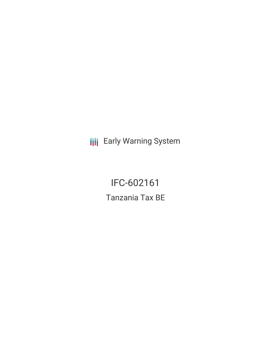**III** Early Warning System

IFC-602161 Tanzania Tax BE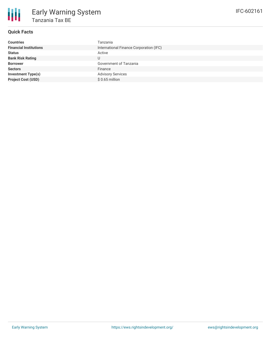

## **Quick Facts**

| <b>Countries</b>              | Tanzania                                |
|-------------------------------|-----------------------------------------|
| <b>Financial Institutions</b> | International Finance Corporation (IFC) |
| <b>Status</b>                 | Active                                  |
| <b>Bank Risk Rating</b>       | U                                       |
| <b>Borrower</b>               | Government of Tanzania                  |
| <b>Sectors</b>                | Finance                                 |
| Investment Type(s)            | <b>Advisory Services</b>                |
| <b>Project Cost (USD)</b>     | $$0.65$ million                         |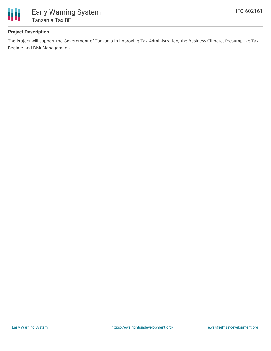

### **Project Description**

The Project will support the Government of Tanzania in improving Tax Administration, the Business Climate, Presumptive Tax Regime and Risk Management.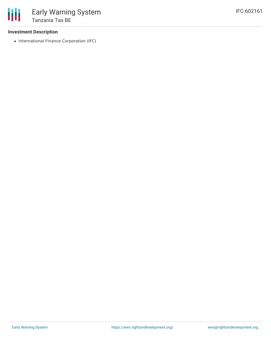#### **Investment Description**

• International Finance Corporation (IFC)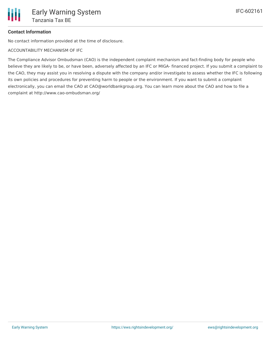# **Contact Information**

No contact information provided at the time of disclosure.

ACCOUNTABILITY MECHANISM OF IFC

The Compliance Advisor Ombudsman (CAO) is the independent complaint mechanism and fact-finding body for people who believe they are likely to be, or have been, adversely affected by an IFC or MIGA- financed project. If you submit a complaint to the CAO, they may assist you in resolving a dispute with the company and/or investigate to assess whether the IFC is following its own policies and procedures for preventing harm to people or the environment. If you want to submit a complaint electronically, you can email the CAO at CAO@worldbankgroup.org. You can learn more about the CAO and how to file a complaint at http://www.cao-ombudsman.org/